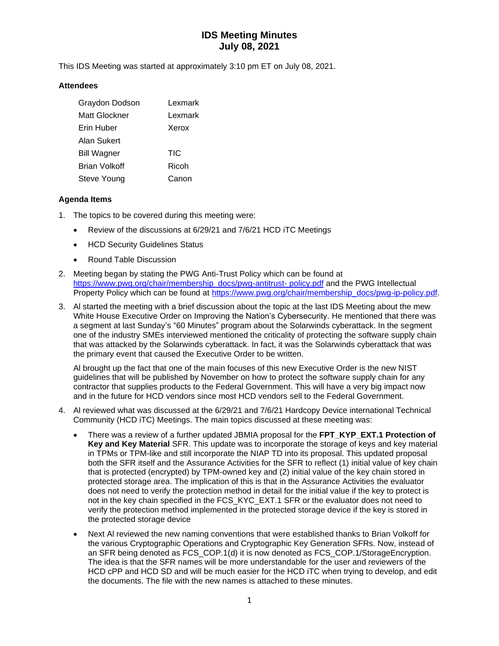# **IDS Meeting Minutes July 08, 2021**

This IDS Meeting was started at approximately 3:10 pm ET on July 08, 2021.

### **Attendees**

| Graydon Dodson     | Lexmark |  |
|--------------------|---------|--|
| Matt Glockner      | Lexmark |  |
| Erin Huber         | Xerox   |  |
| Alan Sukert        |         |  |
| <b>Bill Wagner</b> | TIC     |  |
| Brian Volkoff      | Ricoh   |  |
| Steve Young        | Canon   |  |

### **Agenda Items**

- 1. The topics to be covered during this meeting were:
	- Review of the discussions at 6/29/21 and 7/6/21 HCD iTC Meetings
	- HCD Security Guidelines Status
	- Round Table Discussion
- 2. Meeting began by stating the PWG Anti-Trust Policy which can be found at [https://www.pwg.org/chair/membership\\_docs/pwg-antitrust-](https://www.pwg.org/chair/membership_docs/pwg-antitrust-%20policy.pdf) policy.pdf and the PWG Intellectual Property Policy which can be found at [https://www.pwg.org/chair/membership\\_docs/pwg-ip-policy.pdf.](https://www.pwg.org/chair/membership_docs/pwg-ip-policy.pdf)
- 3. Al started the meeting with a brief discussion about the topic at the last IDS Meeting about the mew White House Executive Order on Improving the Nation's Cybersecurity. He mentioned that there was a segment at last Sunday's "60 Minutes" program about the Solarwinds cyberattack. In the segment one of the industry SMEs interviewed mentioned the criticality of protecting the software supply chain that was attacked by the Solarwinds cyberattack. In fact, it was the Solarwinds cyberattack that was the primary event that caused the Executive Order to be written.

Al brought up the fact that one of the main focuses of this new Executive Order is the new NIST guidelines that will be published by November on how to protect the software supply chain for any contractor that supplies products to the Federal Government. This will have a very big impact now and in the future for HCD vendors since most HCD vendors sell to the Federal Government.

- 4. Al reviewed what was discussed at the 6/29/21 and 7/6/21 Hardcopy Device international Technical Community (HCD iTC) Meetings. The main topics discussed at these meeting was:
	- There was a review of a further updated JBMIA proposal for the **FPT\_KYP\_EXT.1 Protection of Key and Key Material** SFR. This update was to incorporate the storage of keys and key material in TPMs or TPM-like and still incorporate the NIAP TD into its proposal. This updated proposal both the SFR itself and the Assurance Activities for the SFR to reflect (1) initial value of key chain that is protected (encrypted) by TPM-owned key and (2) initial value of the key chain stored in protected storage area. The implication of this is that in the Assurance Activities the evaluator does not need to verify the protection method in detail for the initial value if the key to protect is not in the key chain specified in the FCS\_KYC\_EXT.1 SFR or the evaluator does not need to verify the protection method implemented in the protected storage device if the key is stored in the protected storage device
	- Next Al reviewed the new naming conventions that were established thanks to Brian Volkoff for the various Cryptographic Operations and Cryptographic Key Generation SFRs. Now, instead of an SFR being denoted as FCS\_COP.1(d) it is now denoted as FCS\_COP.1/StorageEncryption. The idea is that the SFR names will be more understandable for the user and reviewers of the HCD cPP and HCD SD and will be much easier for the HCD iTC when trying to develop, and edit the documents. The file with the new names is attached to these minutes.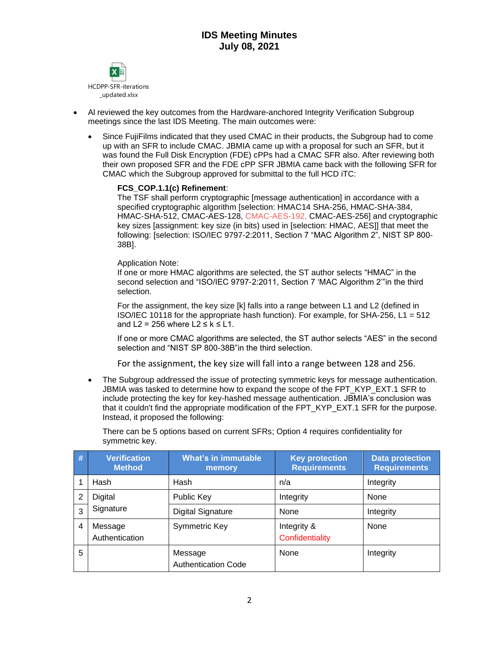

- Al reviewed the key outcomes from the Hardware-anchored Integrity Verification Subgroup meetings since the last IDS Meeting. The main outcomes were:
	- Since FujiFilms indicated that they used CMAC in their products, the Subgroup had to come up with an SFR to include CMAC. JBMIA came up with a proposal for such an SFR, but it was found the Full Disk Encryption (FDE) cPPs had a CMAC SFR also. After reviewing both their own proposed SFR and the FDE cPP SFR JBMIA came back with the following SFR for CMAC which the Subgroup approved for submittal to the full HCD iTC:

### **FCS\_COP.1.1(c) Refinement**:

The TSF shall perform cryptographic [message authentication] in accordance with a specified cryptographic algorithm [selection: HMAC14 SHA-256, HMAC-SHA-384, HMAC-SHA-512, CMAC-AES-128, CMAC-AES-192, CMAC-AES-256] and cryptographic key sizes [assignment: key size (in bits) used in [selection: HMAC, AES]] that meet the following: [selection: ISO/IEC 9797-2:2011, Section 7 "MAC Algorithm 2", NIST SP 800- 38B].

Application Note:

If one or more HMAC algorithms are selected, the ST author selects "HMAC" in the second selection and "ISO/IEC 9797-2:2011, Section 7 'MAC Algorithm 2'"in the third selection.

For the assignment, the key size [k] falls into a range between L1 and L2 (defined in ISO/IEC 10118 for the appropriate hash function). For example, for SHA-256, L1 =  $512$ and L2 = 256 where  $L2 \le k \le L1$ .

If one or more CMAC algorithms are selected, the ST author selects "AES" in the second selection and "NIST SP 800-38B"in the third selection.

For the assignment, the key size will fall into a range between 128 and 256.

• The Subgroup addressed the issue of protecting symmetric keys for message authentication. JBMIA was tasked to determine how to expand the scope of the FPT\_KYP\_EXT.1 SFR to include protecting the key for key-hashed message authentication. JBMIA's conclusion was that it couldn't find the appropriate modification of the FPT\_KYP\_EXT.1 SFR for the purpose. Instead, it proposed the following:

There can be 5 options based on current SFRs; Option 4 requires confidentiality for symmetric key.

| $\overline{t}$ | <b>Verification</b><br><b>Method</b> | <b>What's in immutable</b><br>memory  | <b>Key protection</b><br><b>Requirements</b> | <b>Data protection</b><br><b>Requirements</b> |
|----------------|--------------------------------------|---------------------------------------|----------------------------------------------|-----------------------------------------------|
|                | Hash                                 | Hash                                  | n/a                                          | Integrity                                     |
| 2              | Digital                              | Public Key                            | Integrity                                    | None                                          |
| 3              | Signature                            | <b>Digital Signature</b>              | None                                         | Integrity                                     |
| 4              | Message<br>Authentication            | Symmetric Key                         | Integrity &<br>Confidentiality               | None                                          |
| 5              |                                      | Message<br><b>Authentication Code</b> | None                                         | Integrity                                     |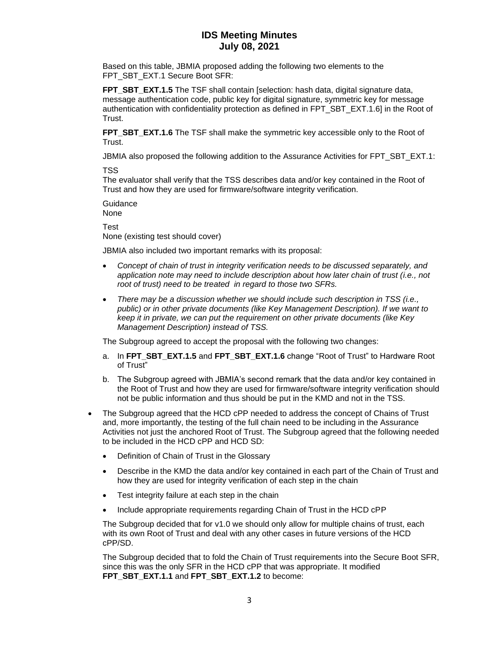### **IDS Meeting Minutes July 08, 2021**

Based on this table, JBMIA proposed adding the following two elements to the FPT\_SBT\_EXT.1 Secure Boot SFR:

**FPT SBT EXT.1.5** The TSF shall contain [selection: hash data, digital signature data, message authentication code, public key for digital signature, symmetric key for message authentication with confidentiality protection as defined in FPT\_SBT\_EXT.1.6] in the Root of Trust.

**FPT\_SBT\_EXT.1.6** The TSF shall make the symmetric key accessible only to the Root of Trust.

JBMIA also proposed the following addition to the Assurance Activities for FPT\_SBT\_EXT.1:

TSS

The evaluator shall verify that the TSS describes data and/or key contained in the Root of Trust and how they are used for firmware/software integrity verification.

Guidance None Test

None (existing test should cover)

JBMIA also included two important remarks with its proposal:

- *Concept of chain of trust in integrity verification needs to be discussed separately, and application note may need to include description about how later chain of trust (i.e., not root of trust) need to be treated in regard to those two SFRs.*
- *There may be a discussion whether we should include such description in TSS (i.e., public) or in other private documents (like Key Management Description). If we want to keep it in private, we can put the requirement on other private documents (like Key Management Description) instead of TSS.*

The Subgroup agreed to accept the proposal with the following two changes:

- a. In **FPT\_SBT\_EXT.1.5** and **FPT\_SBT\_EXT.1.6** change "Root of Trust" to Hardware Root of Trust"
- b. The Subgroup agreed with JBMIA's second remark that the data and/or key contained in the Root of Trust and how they are used for firmware/software integrity verification should not be public information and thus should be put in the KMD and not in the TSS.
- The Subgroup agreed that the HCD cPP needed to address the concept of Chains of Trust and, more importantly, the testing of the full chain need to be including in the Assurance Activities not just the anchored Root of Trust. The Subgroup agreed that the following needed to be included in the HCD cPP and HCD SD:
	- Definition of Chain of Trust in the Glossary
	- Describe in the KMD the data and/or key contained in each part of the Chain of Trust and how they are used for integrity verification of each step in the chain
	- Test integrity failure at each step in the chain
	- Include appropriate requirements regarding Chain of Trust in the HCD cPP

The Subgroup decided that for v1.0 we should only allow for multiple chains of trust, each with its own Root of Trust and deal with any other cases in future versions of the HCD cPP/SD.

The Subgroup decided that to fold the Chain of Trust requirements into the Secure Boot SFR, since this was the only SFR in the HCD cPP that was appropriate. It modified **FPT\_SBT\_EXT.1.1** and **FPT\_SBT\_EXT.1.2** to become: